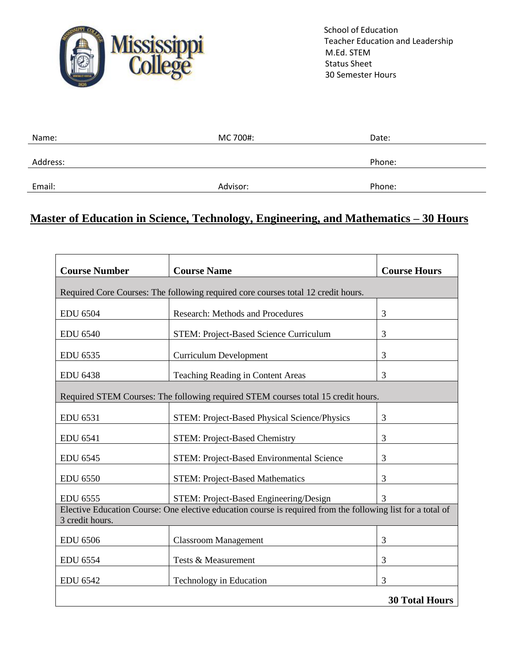

 School of Education Teacher Education and Leadership M.Ed. STEM Status Sheet 30 Semester Hours

| Name:    | MC 700#: | Date:  |
|----------|----------|--------|
|          |          |        |
| Address: |          | Phone: |
|          |          |        |
| Email:   | Advisor: | Phone: |

## **Master of Education in Science, Technology, Engineering, and Mathematics – 30 Hours**

| <b>Course Number</b>                                                                                                           | <b>Course Name</b>                            | <b>Course Hours</b>   |  |
|--------------------------------------------------------------------------------------------------------------------------------|-----------------------------------------------|-----------------------|--|
| Required Core Courses: The following required core courses total 12 credit hours.                                              |                                               |                       |  |
| <b>EDU 6504</b>                                                                                                                | <b>Research: Methods and Procedures</b>       | 3                     |  |
| <b>EDU 6540</b>                                                                                                                | <b>STEM: Project-Based Science Curriculum</b> | 3                     |  |
| <b>EDU 6535</b>                                                                                                                | <b>Curriculum Development</b>                 | 3                     |  |
| <b>EDU 6438</b>                                                                                                                | Teaching Reading in Content Areas             | 3                     |  |
| Required STEM Courses: The following required STEM courses total 15 credit hours.                                              |                                               |                       |  |
| EDU 6531                                                                                                                       | STEM: Project-Based Physical Science/Physics  | 3                     |  |
| <b>EDU 6541</b>                                                                                                                | <b>STEM: Project-Based Chemistry</b>          | 3                     |  |
| <b>EDU 6545</b>                                                                                                                | STEM: Project-Based Environmental Science     | 3                     |  |
| <b>EDU 6550</b>                                                                                                                | <b>STEM: Project-Based Mathematics</b>        | 3                     |  |
| EDU 6555                                                                                                                       | STEM: Project-Based Engineering/Design        | 3                     |  |
| Elective Education Course: One elective education course is required from the following list for a total of<br>3 credit hours. |                                               |                       |  |
| <b>EDU 6506</b>                                                                                                                | <b>Classroom Management</b>                   | 3                     |  |
| EDU 6554                                                                                                                       | Tests & Measurement                           | 3                     |  |
| <b>EDU 6542</b>                                                                                                                | Technology in Education                       | 3                     |  |
|                                                                                                                                |                                               | <b>30 Total Hours</b> |  |